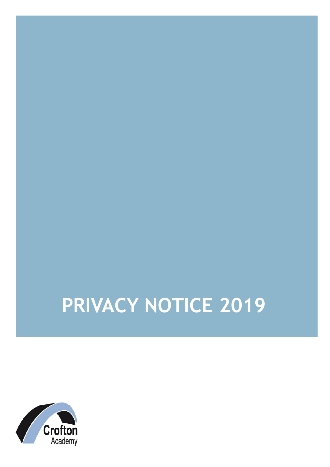# **PRIVACY NOTICE 2019**

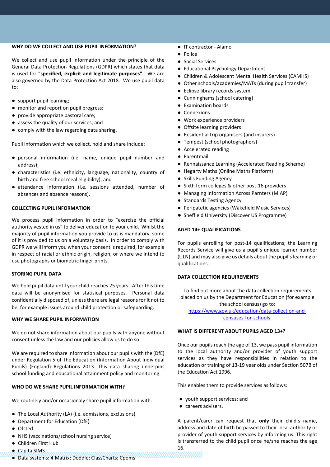# **WHY DO WE COLLECT AND USE PUPIL INFORMATION?**

We collect and use pupil information under the principle of the General Data Protection Regulations (GDPR) which states that data is used for "**specified, explicit and legitimate purposes"**. We are also governed by the Data Protection Act 2018. We use pupil data to:

- support pupil learning;
- monitor and report on pupil progress;
- provide appropriate pastoral care;
- assess the quality of our services; and
- comply with the law regarding data sharing.

Pupil information which we collect, hold and share include:

- personal information (i.e. name, unique pupil number and address);
- characteristics (i.e. ethnicity, language, nationality, country of birth and free school meal eligibility); and
- attendance information (i.e. sessions attended, number of absences and absence reasons).

# **COLLECTING PUPIL INFORMATION**

We process pupil information in order to "exercise the official authority vested in us" to deliver education to your child. Whilst the majority of pupil information you provide to us is mandatory, some of it is provided to us on a voluntary basis. In order to comply with GDPR we will inform you when your consent is required, for example in respect of racial or ethnic origin, religion, or where we intend to use photographs or biometric finger prints.

# **STORING PUPIL DATA**

We hold pupil data until your child reaches 25 years. After this time data will be anonymised for statisical purposes. Personal data confidentially disposed of, unless there are legal reasons for it not to be, for example issues around child protection or safeguarding.

# **WHY WE SHARE PUPIL INFORMATION**

We do not share information about our pupils with anyone without consent unless the law and our policies allow us to do so.

We are required to share information about our pupils with the (DfE) under Regulation 5 of The Education (Information About Individual Pupils) (England) Regulations 2013. This data sharing underpins school funding and educational attainment policy and monitoring.

# **WHO DO WE SHARE PUPIL INFORMATION WITH?**

We routinely and/or occasionaly share pupil information with:

- The Local Authority (LA) (i.e. admissions, exclusions)
- Department for Education (DfE)
- Ofsted
- NHS (vaccinations/school nursing service)
- Children First Hub
- Capita SIMS
- Data systems: 4 Matrix; Doddle; ClassCharts; Cpoms
- IT contractor Alamo
- Police
- Social Services
- Educational Psychology Department
- Children & Adolescent Mental Health Services (CAMHS)
- Other schools/academies/MATs (during pupil transfer)
- Eclipse library records system
- Cunninghams (school catering)
- Examination boards
- Connexions
- Work experience providers
- Offsite learning providers
- Residential trip organisers (and insurers)
- Tempest (school photographers)
- Accelerated reading
- Parentmail
- Rennaissance Learning (Accelerated Reading Scheme)
- Hegarty Maths (Online Maths Platform)
- Skills Funding Agency
- Sixth form colleges & other post-16 providers
- Managing Information Across Parnters (MIAP)
- Standards Testing Agency
- Peripatetic agencies (Wakefield Music Services)
- Sheffield University (Discover US Programme)

## **AGED 14+ QUALIFICATIONS**

For pupils enrolling for post-14 qualifications, the Learning Records Service will give us a pupil's unique learner number (ULN) and may also give us details about the pupil's learning or qualifications.

#### **DATA COLLECTION REQUIREMENTS**

To find out more about the data collection requirements placed on us by the Department for Education (for example the school census) go to: https://www.gov.uk/education/data-collection-andcensuses-for-schools.

#### **WHAT IS DIFFERENT ABOUT PUPILS AGED 13+?**

Once our pupils reach the age of 13, we pass pupil information to the local authority and/or provider of youth support services as they have responsibilities in relation to the education or training of 13-19 year olds under Section 507B of the Education Act 1996.

This enables them to provide services as follows:

- youth support services; and
- careers advisers.

16.

A parent/carer can request that **only** their child's name, address and date of birth be passed to their local authority or provider of youth support services by informing us. This right is transferred to the child pupil once he/she reaches the age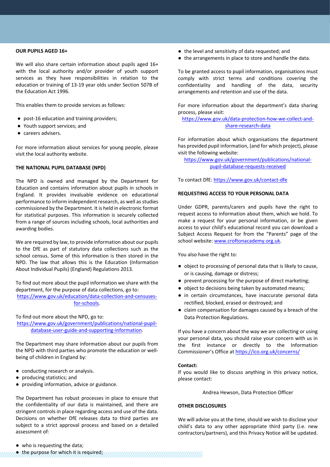## **OUR PUPILS AGED 16+**

We will also share certain information about pupils aged 16+ with the local authority and/or provider of youth support services as they have responsibilities in relation to the education or training of 13-19 year olds under Section 507B of the Education Act 1996.

This enables them to provide services as follows:

- post-16 education and training providers;
- Youth support services; and
- careers advisers.

For more information about services for young people, please visit the local authority website.

## **THE NATIONAL PUPIL DATABASE (NPD)**

The NPD is owned and managed by the Department for Education and contains information about pupils in schools in England. It provides invaluable evidence on educational performance to inform independent research, as well as studies commissioned by the Department. It is held in electronic format for statistical purposes. This information is securely collected from a range of sources including schools, local authorities and awarding bodies.

We are required by law, to provide information about our pupils to the DfE as part of statutory data collections such as the school census. Some of this information is then stored in the NPD. The law that allows this is the Education (Information About Individual Pupils) (England) Regulations 2013.

To find out more about the pupil information we share with the department, for the purpose of data collections, go to: https://www.gov.uk/education/data-collection-and-censusesfor-schools.

To find out more about the NPD, go to:

https://www.gov.uk/government/publications/national-pupildatabase-user-guide-and-supporting-information.

The Department may share information about our pupils from the NPD with third parties who promote the education or wellbeing of children in England by:

- conducting research or analysis.
- producing statistics; and
- providing information, advice or guidance.

The Department has robust processes in place to ensure that the confidentiality of our data is maintained, and there are stringent controls in place regarding access and use of the data. Decisions on whether DfE releases data to third parties are subject to a strict approval process and based on a detailed assessment of:

- the level and sensitivity of data requested; and
- the arrangements in place to store and handle the data.

To be granted access to pupil information, organisations must comply with strict terms and conditions covering the confidentiality and handling of the data, security arrangements and retention and use of the data.

For more information about the department's data sharing process, please visit:

https://www.gov.uk/data-protection-how-we-collect-andshare-research-data

For information about which organisations the department has provided pupil information, (and for which project), please visit the following website:

https://www.gov.uk/government/publications/nationalpupil-database-requests-received

To contact DfE: https://www.gov.uk/contact-dfe

# **REQUESTING ACCESS TO YOUR PERSONAL DATA**

Under GDPR, parents/carers and pupils have the right to request access to information about them, which we hold. To make a request for your personal information, or be given access to your child's educational record you can download a Subject Access Request for from the "Parents" page of the school website: www.croftonacademy.org.uk.

You also have the right to:

- object to processing of personal data that is likely to cause, or is causing, damage or distress;
- prevent processing for the purpose of direct marketing;
- object to decisions being taken by automated means;
- in certain circumstances, have inaccurate personal data rectified, blocked, erased or destroyed; and
- claim compensation for damages caused by a breach of the Data Protection Regulations.

If you have a concern about the way we are collecting or using your personal data, you should raise your concern with us in the first instance or directly to the Information Commissioner's Office at https://ico.org.uk/concerns/

#### **Contact:**

If you would like to discuss anything in this privacy notice, please contact:

Andrea Hewson, Data Protection Officer

#### **OTHER DISCLOSURES**

We will advise you at the time, should we wish to disclose your child's data to any other appropriate third party (i.e. new contractors/partners), and this Privacy Notice will be updated.

● the purpose for which it is required;